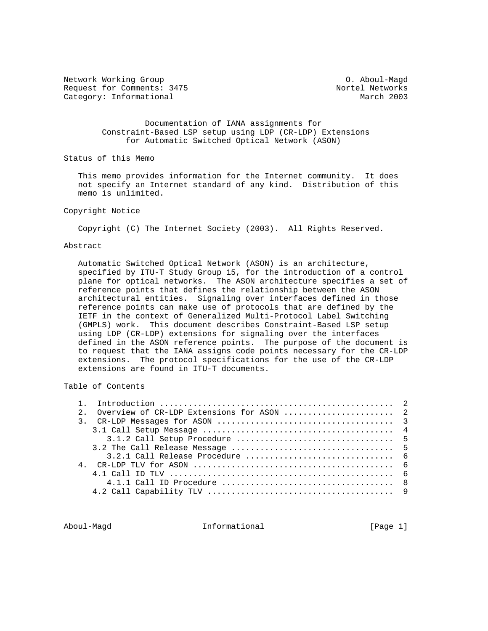Network Working Group Communications of the Magdian Communications of Aboul-Magdian Request for Comments: 3475 Nortel Networks<br>
Category: Informational Networks (Networks Narch 2003 Category: Informational

 Documentation of IANA assignments for Constraint-Based LSP setup using LDP (CR-LDP) Extensions for Automatic Switched Optical Network (ASON)

Status of this Memo

 This memo provides information for the Internet community. It does not specify an Internet standard of any kind. Distribution of this memo is unlimited.

### Copyright Notice

Copyright (C) The Internet Society (2003). All Rights Reserved.

## Abstract

 Automatic Switched Optical Network (ASON) is an architecture, specified by ITU-T Study Group 15, for the introduction of a control plane for optical networks. The ASON architecture specifies a set of reference points that defines the relationship between the ASON architectural entities. Signaling over interfaces defined in those reference points can make use of protocols that are defined by the IETF in the context of Generalized Multi-Protocol Label Switching (GMPLS) work. This document describes Constraint-Based LSP setup using LDP (CR-LDP) extensions for signaling over the interfaces defined in the ASON reference points. The purpose of the document is to request that the IANA assigns code points necessary for the CR-LDP extensions. The protocol specifications for the use of the CR-LDP extensions are found in ITU-T documents.

# Table of Contents

| 2. Overview of CR-LDP Extensions for ASON  2 |
|----------------------------------------------|
|                                              |
|                                              |
|                                              |
|                                              |
|                                              |
|                                              |
|                                              |
|                                              |
|                                              |

Aboul-Magd **Informational** Informational [Page 1]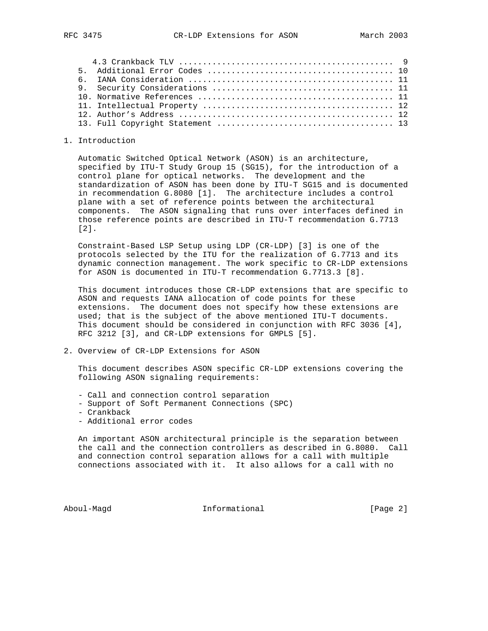#### 1. Introduction

 Automatic Switched Optical Network (ASON) is an architecture, specified by ITU-T Study Group 15 (SG15), for the introduction of a control plane for optical networks. The development and the standardization of ASON has been done by ITU-T SG15 and is documented in recommendation G.8080 [1]. The architecture includes a control plane with a set of reference points between the architectural components. The ASON signaling that runs over interfaces defined in those reference points are described in ITU-T recommendation G.7713 [2].

 Constraint-Based LSP Setup using LDP (CR-LDP) [3] is one of the protocols selected by the ITU for the realization of G.7713 and its dynamic connection management. The work specific to CR-LDP extensions for ASON is documented in ITU-T recommendation G.7713.3 [8].

 This document introduces those CR-LDP extensions that are specific to ASON and requests IANA allocation of code points for these extensions. The document does not specify how these extensions are used; that is the subject of the above mentioned ITU-T documents. This document should be considered in conjunction with RFC 3036 [4], RFC 3212 [3], and CR-LDP extensions for GMPLS [5].

2. Overview of CR-LDP Extensions for ASON

 This document describes ASON specific CR-LDP extensions covering the following ASON signaling requirements:

- Call and connection control separation
- Support of Soft Permanent Connections (SPC)
- Crankback
- Additional error codes

 An important ASON architectural principle is the separation between the call and the connection controllers as described in G.8080. Call and connection control separation allows for a call with multiple connections associated with it. It also allows for a call with no

Aboul-Magd **Informational** Informational [Page 2]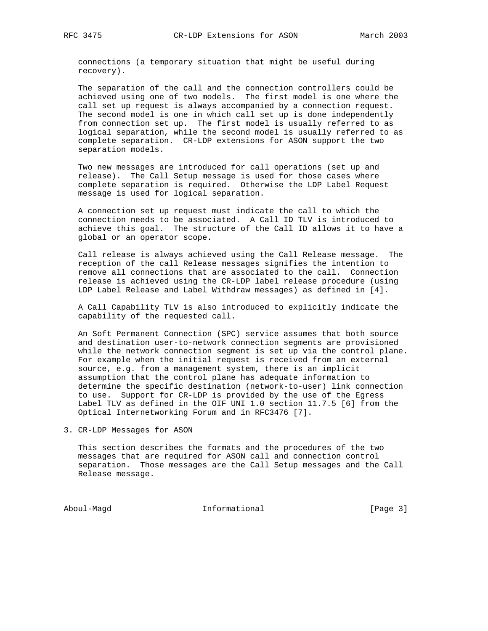connections (a temporary situation that might be useful during recovery).

 The separation of the call and the connection controllers could be achieved using one of two models. The first model is one where the call set up request is always accompanied by a connection request. The second model is one in which call set up is done independently from connection set up. The first model is usually referred to as logical separation, while the second model is usually referred to as complete separation. CR-LDP extensions for ASON support the two separation models.

 Two new messages are introduced for call operations (set up and release). The Call Setup message is used for those cases where complete separation is required. Otherwise the LDP Label Request message is used for logical separation.

 A connection set up request must indicate the call to which the connection needs to be associated. A Call ID TLV is introduced to achieve this goal. The structure of the Call ID allows it to have a global or an operator scope.

 Call release is always achieved using the Call Release message. The reception of the call Release messages signifies the intention to remove all connections that are associated to the call. Connection release is achieved using the CR-LDP label release procedure (using LDP Label Release and Label Withdraw messages) as defined in [4].

 A Call Capability TLV is also introduced to explicitly indicate the capability of the requested call.

 An Soft Permanent Connection (SPC) service assumes that both source and destination user-to-network connection segments are provisioned while the network connection segment is set up via the control plane. For example when the initial request is received from an external source, e.g. from a management system, there is an implicit assumption that the control plane has adequate information to determine the specific destination (network-to-user) link connection to use. Support for CR-LDP is provided by the use of the Egress Label TLV as defined in the OIF UNI 1.0 section 11.7.5 [6] from the Optical Internetworking Forum and in RFC3476 [7].

3. CR-LDP Messages for ASON

 This section describes the formats and the procedures of the two messages that are required for ASON call and connection control separation. Those messages are the Call Setup messages and the Call Release message.

Aboul-Magd Informational [Page 3]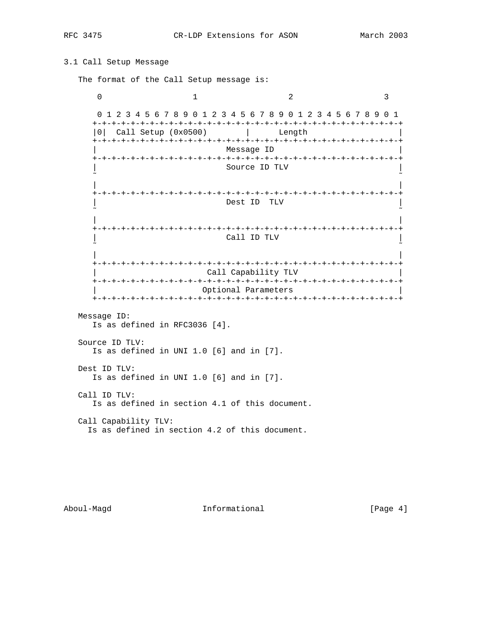# 3.1 Call Setup Message

The format of the Call Setup message is:

 $0$  1 2 3 0 1 2 3 4 5 6 7 8 9 0 1 2 3 4 5 6 7 8 9 0 1 2 3 4 5 6 7 8 9 0 1 +-+-+-+-+-+-+-+-+-+-+-+-+-+-+-+-+-+-+-+-+-+-+-+-+-+-+-+-+-+-+-+-+ |0| Call Setup (0x0500) | Length | +-+-+-+-+-+-+-+-+-+-+-+-+-+-+-+-+-+-+-+-+-+-+-+-+-+-+-+-+-+-+-+-+ | Message ID | +-+-+-+-+-+-+-+-+-+-+-+-+-+-+-+-+-+-+-+-+-+-+-+-+-+-+-+-+-+-+-+-+ Source ID TLV ˜ ˜ | | +-+-+-+-+-+-+-+-+-+-+-+-+-+-+-+-+-+-+-+-+-+-+-+-+-+-+-+-+-+-+-+-+ | Dest ID TLV | ˜ ˜ | | +-+-+-+-+-+-+-+-+-+-+-+-+-+-+-+-+-+-+-+-+-+-+-+-+-+-+-+-+-+-+-+-+ | Call ID TLV | ˜ ˜ | | +-+-+-+-+-+-+-+-+-+-+-+-+-+-+-+-+-+-+-+-+-+-+-+-+-+-+-+-+-+-+-+-+ Call Capability TLV +-+-+-+-+-+-+-+-+-+-+-+-+-+-+-+-+-+-+-+-+-+-+-+-+-+-+-+-+-+-+-+-+ Optional Parameters +-+-+-+-+-+-+-+-+-+-+-+-+-+-+-+-+-+-+-+-+-+-+-+-+-+-+-+-+-+-+-+-+ Message ID:

Is as defined in RFC3036 [4].

 Source ID TLV: Is as defined in UNI 1.0 [6] and in [7]. Dest ID TLV:

Is as defined in UNI 1.0 [6] and in [7].

 Call ID TLV: Is as defined in section 4.1 of this document.

 Call Capability TLV: Is as defined in section 4.2 of this document.

Aboul-Magd Informational [Page 4]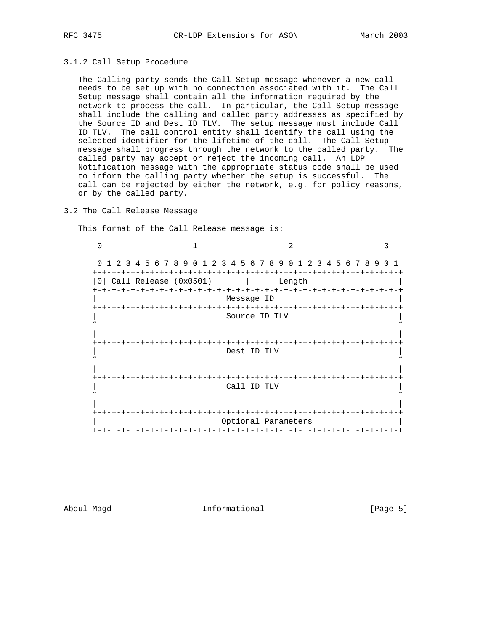### 3.1.2 Call Setup Procedure

 The Calling party sends the Call Setup message whenever a new call needs to be set up with no connection associated with it. The Call Setup message shall contain all the information required by the network to process the call. In particular, the Call Setup message shall include the calling and called party addresses as specified by the Source ID and Dest ID TLV. The setup message must include Call ID TLV. The call control entity shall identify the call using the selected identifier for the lifetime of the call. The Call Setup message shall progress through the network to the called party. The called party may accept or reject the incoming call. An LDP Notification message with the appropriate status code shall be used to inform the calling party whether the setup is successful. The call can be rejected by either the network, e.g. for policy reasons, or by the called party.

## 3.2 The Call Release Message

This format of the Call Release message is:

| 1 2 3 4 5 6 7 8 9 0 1 2 3 4 5 6 7 8 9 0 1 2 3 4 5 6 7 8 9 0<br>$\Omega$<br>$+-+$ |                       |  |  |                          |                               |        |  |  |  |  |  |
|----------------------------------------------------------------------------------|-----------------------|--|--|--------------------------|-------------------------------|--------|--|--|--|--|--|
| 0 I                                                                              | Call Release (0x0501) |  |  |                          | -+-+-+-+-+-+-+-+-+-+-+-+-+-+- | Length |  |  |  |  |  |
|                                                                                  |                       |  |  | Message ID               |                               |        |  |  |  |  |  |
|                                                                                  |                       |  |  |                          |                               |        |  |  |  |  |  |
|                                                                                  |                       |  |  | Source ID TLV            |                               |        |  |  |  |  |  |
|                                                                                  |                       |  |  |                          |                               |        |  |  |  |  |  |
| +-+-+-+-+-+-+-+-+-+-+-+-+                                                        |                       |  |  |                          |                               |        |  |  |  |  |  |
|                                                                                  |                       |  |  | Dest ID TLV              |                               |        |  |  |  |  |  |
|                                                                                  |                       |  |  |                          |                               |        |  |  |  |  |  |
|                                                                                  |                       |  |  |                          |                               |        |  |  |  |  |  |
|                                                                                  |                       |  |  | Call ID TLV              |                               |        |  |  |  |  |  |
|                                                                                  |                       |  |  |                          |                               |        |  |  |  |  |  |
|                                                                                  |                       |  |  | $-+ - + - + - + - + - +$ |                               |        |  |  |  |  |  |
|                                                                                  |                       |  |  |                          |                               |        |  |  |  |  |  |
|                                                                                  |                       |  |  | Optional Parameters      |                               |        |  |  |  |  |  |

Aboul-Magd **Informational Informational** [Page 5]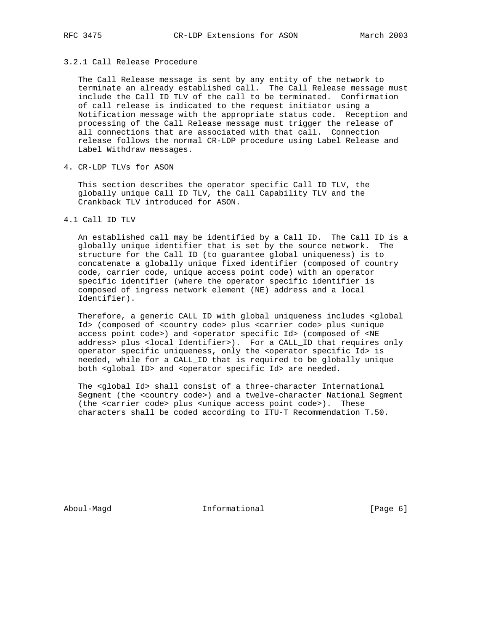#### 3.2.1 Call Release Procedure

 The Call Release message is sent by any entity of the network to terminate an already established call. The Call Release message must include the Call ID TLV of the call to be terminated. Confirmation of call release is indicated to the request initiator using a Notification message with the appropriate status code. Reception and processing of the Call Release message must trigger the release of all connections that are associated with that call. Connection release follows the normal CR-LDP procedure using Label Release and Label Withdraw messages.

4. CR-LDP TLVs for ASON

 This section describes the operator specific Call ID TLV, the globally unique Call ID TLV, the Call Capability TLV and the Crankback TLV introduced for ASON.

4.1 Call ID TLV

 An established call may be identified by a Call ID. The Call ID is a globally unique identifier that is set by the source network. The structure for the Call ID (to guarantee global uniqueness) is to concatenate a globally unique fixed identifier (composed of country code, carrier code, unique access point code) with an operator specific identifier (where the operator specific identifier is composed of ingress network element (NE) address and a local Identifier).

 Therefore, a generic CALL\_ID with global uniqueness includes <global Id> (composed of <country code> plus <carrier code> plus <unique access point code>) and <operator specific Id> (composed of <NE address> plus <local Identifier>). For a CALL\_ID that requires only operator specific uniqueness, only the <operator specific Id> is needed, while for a CALL\_ID that is required to be globally unique both <global ID> and <operator specific Id> are needed.

 The <global Id> shall consist of a three-character International Segment (the <country code>) and a twelve-character National Segment (the <carrier code> plus <unique access point code>). These characters shall be coded according to ITU-T Recommendation T.50.

Aboul-Magd 1nformational 1999 [Page 6]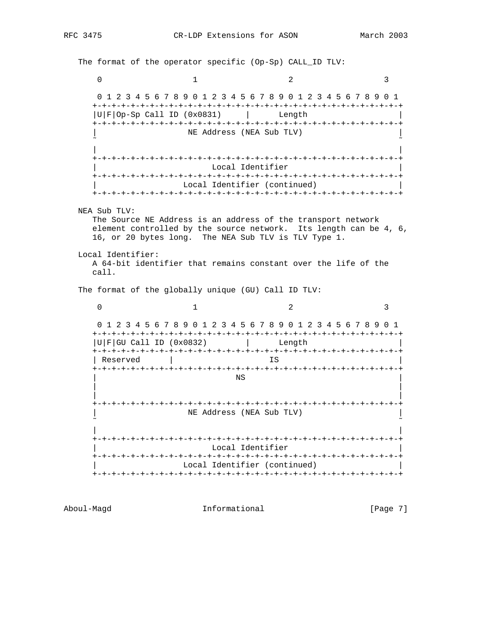The format of the operator specific (Op-Sp) CALL\_ID TLV: 0  $1$  2 3 0 1 2 3 4 5 6 7 8 9 0 1 2 3 4 5 6 7 8 9 0 1 2 3 4 5 6 7 8 9 0 1 +-+-+-+-+-+-+-+-+-+-+-+-+-+-+-+-+-+-+-+-+-+-+-+-+-+-+-+-+-+-+-+-+  $|U|F|$ Op-Sp Call ID (0x0831) | Length +-+-+-+-+-+-+-+-+-+-+-+-+-+-+-+-+-+-+-+-+-+-+-+-+-+-+-+-+-+-+-+-+ | NE Address (NEA Sub TLV) | ˜ ˜ | | +-+-+-+-+-+-+-+-+-+-+-+-+-+-+-+-+-+-+-+-+-+-+-+-+-+-+-+-+-+-+-+-+ Local Identifier +-+-+-+-+-+-+-+-+-+-+-+-+-+-+-+-+-+-+-+-+-+-+-+-+-+-+-+-+-+-+-+-+ Local Identifier (continued) +-+-+-+-+-+-+-+-+-+-+-+-+-+-+-+-+-+-+-+-+-+-+-+-+-+-+-+-+-+-+-+-+ NEA Sub TLV: The Source NE Address is an address of the transport network element controlled by the source network. Its length can be 4, 6, 16, or 20 bytes long. The NEA Sub TLV is TLV Type 1. Local Identifier: A 64-bit identifier that remains constant over the life of the call. The format of the globally unique (GU) Call ID TLV:  $0$  1 2 3 0 1 2 3 4 5 6 7 8 9 0 1 2 3 4 5 6 7 8 9 0 1 2 3 4 5 6 7 8 9 0 1 +-+-+-+-+-+-+-+-+-+-+-+-+-+-+-+-+-+-+-+-+-+-+-+-+-+-+-+-+-+-+-+-+  $|U|F|GU$  Call ID (0x0832)  $|U|F|GU$  Call ID (0x0832) +-+-+-+-+-+-+-+-+-+-+-+-+-+-+-+-+-+-+-+-+-+-+-+-+-+-+-+-+-+-+-+-+ | Reserved | IS +-+-+-+-+-+-+-+-+-+-+-+-+-+-+-+-+-+-+-+-+-+-+-+-+-+-+-+-+-+-+-+-+ | NS | | | | | +-+-+-+-+-+-+-+-+-+-+-+-+-+-+-+-+-+-+-+-+-+-+-+-+-+-+-+-+-+-+-+-+ | NE Address (NEA Sub TLV) | ˜ ˜ | | +-+-+-+-+-+-+-+-+-+-+-+-+-+-+-+-+-+-+-+-+-+-+-+-+-+-+-+-+-+-+-+-+ Local Identifier +-+-+-+-+-+-+-+-+-+-+-+-+-+-+-+-+-+-+-+-+-+-+-+-+-+-+-+-+-+-+-+-+ Local Identifier (continued) +-+-+-+-+-+-+-+-+-+-+-+-+-+-+-+-+-+-+-+-+-+-+-+-+-+-+-+-+-+-+-+-+

Aboul-Magd **Informational** Informational [Page 7]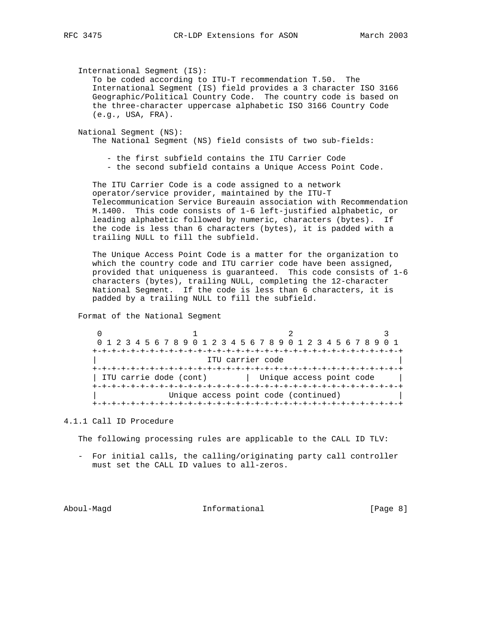International Segment (IS):

 To be coded according to ITU-T recommendation T.50. The International Segment (IS) field provides a 3 character ISO 3166 Geographic/Political Country Code. The country code is based on the three-character uppercase alphabetic ISO 3166 Country Code (e.g., USA, FRA).

 National Segment (NS): The National Segment (NS) field consists of two sub-fields:

- the first subfield contains the ITU Carrier Code
- the second subfield contains a Unique Access Point Code.

 The ITU Carrier Code is a code assigned to a network operator/service provider, maintained by the ITU-T Telecommunication Service Bureauin association with Recommendation M.1400. This code consists of 1-6 left-justified alphabetic, or leading alphabetic followed by numeric, characters (bytes). If the code is less than 6 characters (bytes), it is padded with a trailing NULL to fill the subfield.

 The Unique Access Point Code is a matter for the organization to which the country code and ITU carrier code have been assigned, provided that uniqueness is guaranteed. This code consists of 1-6 characters (bytes), trailing NULL, completing the 12-character National Segment. If the code is less than 6 characters, it is padded by a trailing NULL to fill the subfield.

Format of the National Segment

 $0$  1 2 3 0 1 2 3 4 5 6 7 8 9 0 1 2 3 4 5 6 7 8 9 0 1 2 3 4 5 6 7 8 9 0 1 +-+-+-+-+-+-+-+-+-+-+-+-+-+-+-+-+-+-+-+-+-+-+-+-+-+-+-+-+-+-+-+-+ ITU carrier code +-+-+-+-+-+-+-+-+-+-+-+-+-+-+-+-+-+-+-+-+-+-+-+-+-+-+-+-+-+-+-+-+ | ITU carrie dode (cont) | Unique access point code +-+-+-+-+-+-+-+-+-+-+-+-+-+-+-+-+-+-+-+-+-+-+-+-+-+-+-+-+-+-+-+-+ Unique access point code (continued) +-+-+-+-+-+-+-+-+-+-+-+-+-+-+-+-+-+-+-+-+-+-+-+-+-+-+-+-+-+-+-+-+

# 4.1.1 Call ID Procedure

The following processing rules are applicable to the CALL ID TLV:

 - For initial calls, the calling/originating party call controller must set the CALL ID values to all-zeros.

Aboul-Magd **Informational** Informational [Page 8]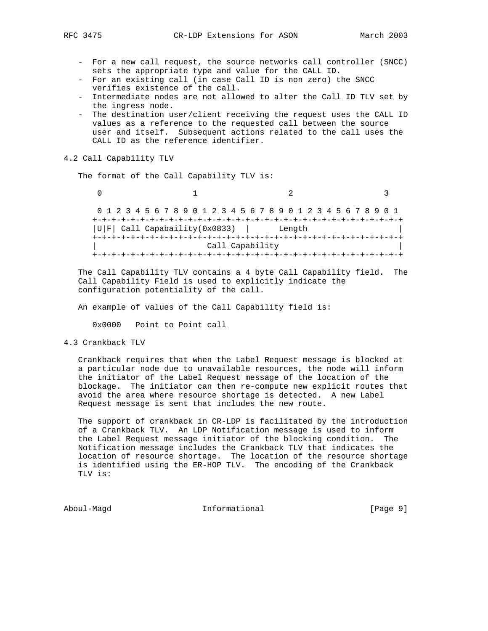- For a new call request, the source networks call controller (SNCC) sets the appropriate type and value for the CALL ID.
- For an existing call (in case Call ID is non zero) the SNCC verifies existence of the call.
- Intermediate nodes are not allowed to alter the Call ID TLV set by the ingress node.
- The destination user/client receiving the request uses the CALL ID values as a reference to the requested call between the source user and itself. Subsequent actions related to the call uses the CALL ID as the reference identifier.

## 4.2 Call Capability TLV

The format of the Call Capability TLV is:

 $0$  1 2 3 0 1 2 3 4 5 6 7 8 9 0 1 2 3 4 5 6 7 8 9 0 1 2 3 4 5 6 7 8 9 0 1 +-+-+-+-+-+-+-+-+-+-+-+-+-+-+-+-+-+-+-+-+-+-+-+-+-+-+-+-+-+-+-+-+  $|U|F|$  Call Capabaility(0x0833) | Length +-+-+-+-+-+-+-+-+-+-+-+-+-+-+-+-+-+-+-+-+-+-+-+-+-+-+-+-+-+-+-+-+ Call Capability +-+-+-+-+-+-+-+-+-+-+-+-+-+-+-+-+-+-+-+-+-+-+-+-+-+-+-+-+-+-+-+-+

 The Call Capability TLV contains a 4 byte Call Capability field. The Call Capability Field is used to explicitly indicate the configuration potentiality of the call.

An example of values of the Call Capability field is:

0x0000 Point to Point call

4.3 Crankback TLV

 Crankback requires that when the Label Request message is blocked at a particular node due to unavailable resources, the node will inform the initiator of the Label Request message of the location of the blockage. The initiator can then re-compute new explicit routes that avoid the area where resource shortage is detected. A new Label Request message is sent that includes the new route.

 The support of crankback in CR-LDP is facilitated by the introduction of a Crankback TLV. An LDP Notification message is used to inform the Label Request message initiator of the blocking condition. The Notification message includes the Crankback TLV that indicates the location of resource shortage. The location of the resource shortage is identified using the ER-HOP TLV. The encoding of the Crankback TLV is:

Aboul-Magd Informational [Page 9]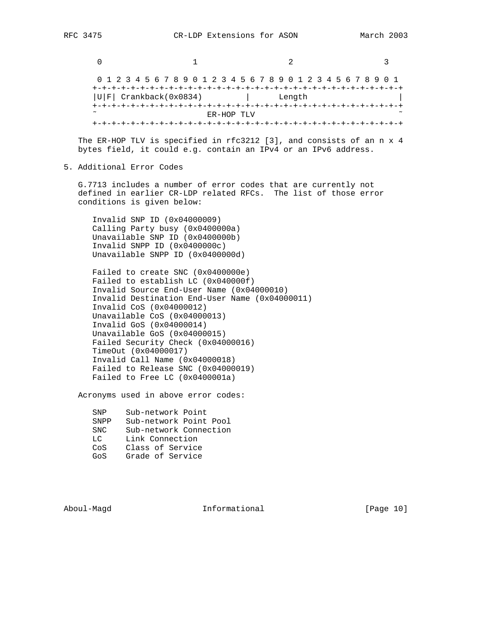$0$  1 2 3 0 1 2 3 4 5 6 7 8 9 0 1 2 3 4 5 6 7 8 9 0 1 2 3 4 5 6 7 8 9 0 1 +-+-+-+-+-+-+-+-+-+-+-+-+-+-+-+-+-+-+-+-+-+-+-+-+-+-+-+-+-+-+-+-+ |U|F| Crankback(0x0834) | Length +-+-+-+-+-+-+-+-+-+-+-+-+-+-+-+-+-+-+-+-+-+-+-+-+-+-+-+-+-+-+-+-+ ER-HOP TLV +-+-+-+-+-+-+-+-+-+-+-+-+-+-+-+-+-+-+-+-+-+-+-+-+-+-+-+-+-+-+-+-+

 The ER-HOP TLV is specified in rfc3212 [3], and consists of an n x 4 bytes field, it could e.g. contain an IPv4 or an IPv6 address.

5. Additional Error Codes

 G.7713 includes a number of error codes that are currently not defined in earlier CR-LDP related RFCs. The list of those error conditions is given below:

 Invalid SNP ID (0x04000009) Calling Party busy (0x0400000a) Unavailable SNP ID (0x0400000b) Invalid SNPP ID (0x0400000c) Unavailable SNPP ID (0x0400000d)

 Failed to create SNC (0x0400000e) Failed to establish LC (0x040000f) Invalid Source End-User Name (0x04000010) Invalid Destination End-User Name (0x04000011) Invalid CoS (0x04000012) Unavailable CoS (0x04000013) Invalid GoS (0x04000014) Unavailable GoS (0x04000015) Failed Security Check (0x04000016) TimeOut (0x04000017) Invalid Call Name (0x04000018) Failed to Release SNC (0x04000019) Failed to Free LC (0x0400001a)

Acronyms used in above error codes:

 SNP Sub-network Point SNPP Sub-network Point Pool SNC Sub-network Connection LC Link Connection CoS Class of Service GoS Grade of Service

Aboul-Magd **Informational** Informational [Page 10]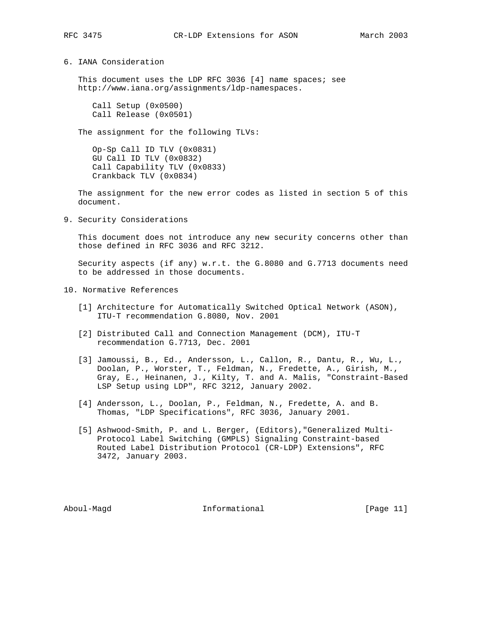6. IANA Consideration

This document uses the LDP RFC 3036 [4] name spaces; see http://www.iana.org/assignments/ldp-namespaces.

 Call Setup (0x0500) Call Release (0x0501)

The assignment for the following TLVs:

 Op-Sp Call ID TLV (0x0831) GU Call ID TLV (0x0832) Call Capability TLV (0x0833) Crankback TLV (0x0834)

 The assignment for the new error codes as listed in section 5 of this document.

9. Security Considerations

 This document does not introduce any new security concerns other than those defined in RFC 3036 and RFC 3212.

 Security aspects (if any) w.r.t. the G.8080 and G.7713 documents need to be addressed in those documents.

- 10. Normative References
	- [1] Architecture for Automatically Switched Optical Network (ASON), ITU-T recommendation G.8080, Nov. 2001
	- [2] Distributed Call and Connection Management (DCM), ITU-T recommendation G.7713, Dec. 2001
	- [3] Jamoussi, B., Ed., Andersson, L., Callon, R., Dantu, R., Wu, L., Doolan, P., Worster, T., Feldman, N., Fredette, A., Girish, M., Gray, E., Heinanen, J., Kilty, T. and A. Malis, "Constraint-Based LSP Setup using LDP", RFC 3212, January 2002.
	- [4] Andersson, L., Doolan, P., Feldman, N., Fredette, A. and B. Thomas, "LDP Specifications", RFC 3036, January 2001.
	- [5] Ashwood-Smith, P. and L. Berger, (Editors),"Generalized Multi- Protocol Label Switching (GMPLS) Signaling Constraint-based Routed Label Distribution Protocol (CR-LDP) Extensions", RFC 3472, January 2003.

Aboul-Magd **Informational** Informational [Page 11]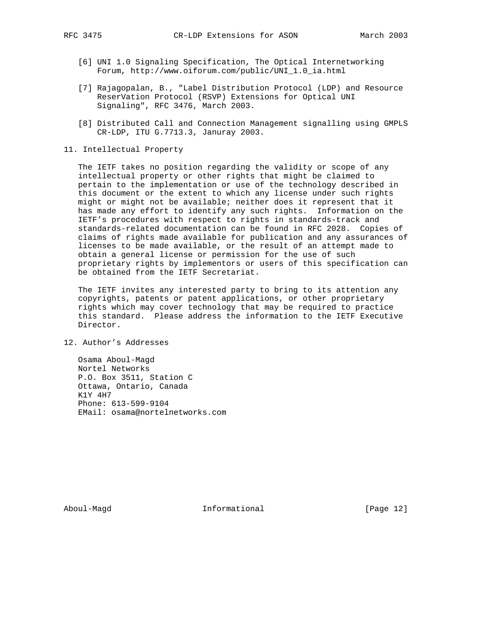- [6] UNI 1.0 Signaling Specification, The Optical Internetworking Forum, http://www.oiforum.com/public/UNI\_1.0\_ia.html
- [7] Rajagopalan, B., "Label Distribution Protocol (LDP) and Resource ReserVation Protocol (RSVP) Extensions for Optical UNI Signaling", RFC 3476, March 2003.
- [8] Distributed Call and Connection Management signalling using GMPLS CR-LDP, ITU G.7713.3, Januray 2003.
- 11. Intellectual Property

 The IETF takes no position regarding the validity or scope of any intellectual property or other rights that might be claimed to pertain to the implementation or use of the technology described in this document or the extent to which any license under such rights might or might not be available; neither does it represent that it has made any effort to identify any such rights. Information on the IETF's procedures with respect to rights in standards-track and standards-related documentation can be found in RFC 2028. Copies of claims of rights made available for publication and any assurances of licenses to be made available, or the result of an attempt made to obtain a general license or permission for the use of such proprietary rights by implementors or users of this specification can be obtained from the IETF Secretariat.

 The IETF invites any interested party to bring to its attention any copyrights, patents or patent applications, or other proprietary rights which may cover technology that may be required to practice this standard. Please address the information to the IETF Executive Director.

12. Author's Addresses

 Osama Aboul-Magd Nortel Networks P.O. Box 3511, Station C Ottawa, Ontario, Canada K1Y 4H7 Phone: 613-599-9104 EMail: osama@nortelnetworks.com

Aboul-Magd **Informational** Informational [Page 12]